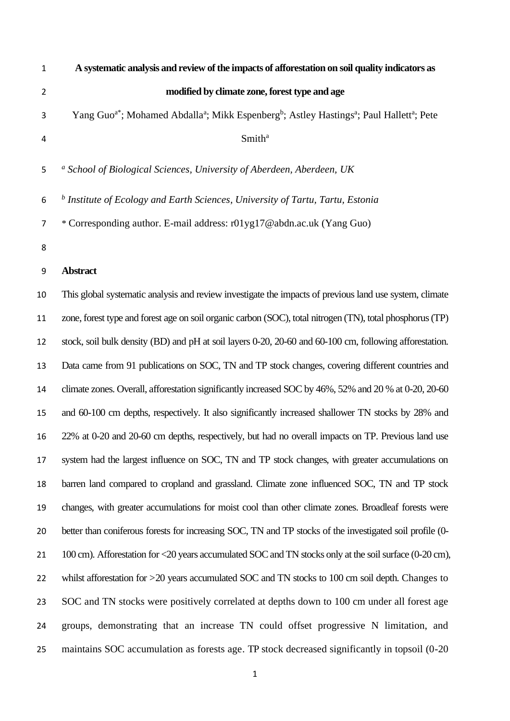| $\mathbf 1$    | A systematic analysis and review of the impacts of afforestation on soil quality indicators as                                                        |
|----------------|-------------------------------------------------------------------------------------------------------------------------------------------------------|
| $\overline{2}$ | modified by climate zone, forest type and age                                                                                                         |
| 3              | Yang Guo <sup>a*</sup> ; Mohamed Abdalla <sup>a</sup> ; Mikk Espenberg <sup>b</sup> ; Astley Hastings <sup>a</sup> ; Paul Hallett <sup>a</sup> ; Pete |
| 4              | Smith <sup>a</sup>                                                                                                                                    |
| 5              | <sup>a</sup> School of Biological Sciences, University of Aberdeen, Aberdeen, UK                                                                      |
| 6              | <sup>b</sup> Institute of Ecology and Earth Sciences, University of Tartu, Tartu, Estonia                                                             |
| 7              | * Corresponding author. E-mail address: r01yg17@abdn.ac.uk (Yang Guo)                                                                                 |
| 8              |                                                                                                                                                       |
| 9              | <b>Abstract</b>                                                                                                                                       |
| 10             | This global systematic analysis and review investigate the impacts of previous land use system, climate                                               |
| 11             | zone, forest type and forest age on soil organic carbon (SOC), total nitrogen (TN), total phosphorus (TP)                                             |
| 12             | stock, soil bulk density (BD) and pH at soil layers 0-20, 20-60 and 60-100 cm, following afforestation.                                               |
| 13             | Data came from 91 publications on SOC, TN and TP stock changes, covering different countries and                                                      |
| 14             | climate zones. Overall, afforestation significantly increased SOC by 46%, 52% and 20 % at 0-20, 20-60                                                 |
| 15             | and 60-100 cm depths, respectively. It also significantly increased shallower TN stocks by 28% and                                                    |
| 16             | 22% at 0-20 and 20-60 cm depths, respectively, but had no overall impacts on TP. Previous land use                                                    |
| 17             | system had the largest influence on SOC, TN and TP stock changes, with greater accumulations on                                                       |
| 18             | barren land compared to cropland and grassland. Climate zone influenced SOC, TN and TP stock                                                          |
| 19             | changes, with greater accumulations for moist cool than other climate zones. Broadleaf forests were                                                   |
| 20             | better than coniferous forests for increasing SOC, TN and TP stocks of the investigated soil profile (0-                                              |
| 21             | 100 cm). Afforestation for <20 years accumulated SOC and TN stocks only at the soil surface (0-20 cm),                                                |
| 22             | whilst afforestation for >20 years accumulated SOC and TN stocks to 100 cm soil depth. Changes to                                                     |
| 23             | SOC and TN stocks were positively correlated at depths down to 100 cm under all forest age                                                            |
| 24             | groups, demonstrating that an increase TN could offset progressive N limitation, and                                                                  |
| 25             | maintains SOC accumulation as forests age. TP stock decreased significantly in topsoil (0-20                                                          |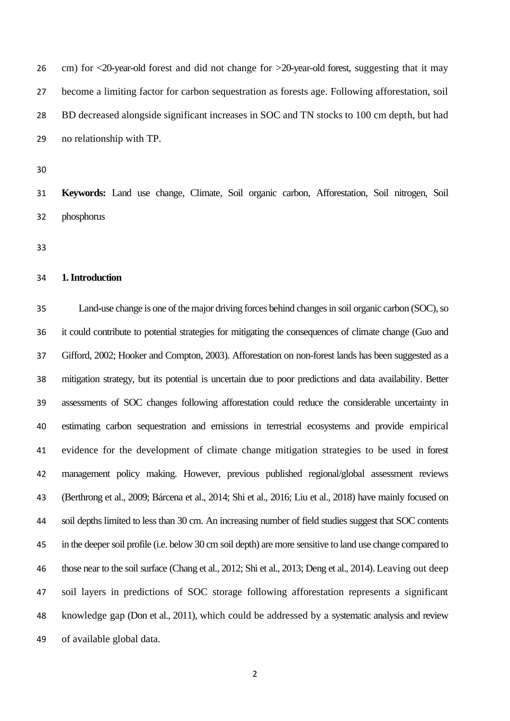cm) for <20-year-old forest and did not change for >20-year-old forest, suggesting that it may become a limiting factor for carbon sequestration as forests age. Following afforestation, soil BD decreased alongside significant increases in SOC and TN stocks to 100 cm depth, but had no relationship with TP.

 **Keywords:** Land use change, Climate, Soil organic carbon, Afforestation, Soil nitrogen, Soil phosphorus

#### **1.Introduction**

 Land-use change is one of the major driving forces behind changes in soil organic carbon (SOC), so it could contribute to potential strategies for mitigating the consequences of climate change (Guo and Gifford, 2002; Hooker and Compton, 2003). Afforestation on non-forest lands has been suggested as a mitigation strategy, but its potential is uncertain due to poor predictions and data availability. Better assessments of SOC changes following afforestation could reduce the considerable uncertainty in estimating carbon sequestration and emissions in terrestrial ecosystems and provide empirical evidence for the development of climate change mitigation strategies to be used in forest management policy making. However, previous published regional/global assessment reviews (Berthrong et al., 2009; Bárcena et al., 2014; Shi et al., 2016; Liu et al., 2018) have mainly focused on soil depths limited to less than 30 cm. An increasing number of field studies suggest that SOC contents in the deeper soil profile (i.e. below 30 cm soil depth) are more sensitive to land use change compared to those near to the soil surface (Chang et al., 2012; Shi et al., 2013; Deng et al., 2014). Leaving out deep soil layers in predictions of SOC storage following afforestation represents a significant knowledge gap (Don et al., 2011), which could be addressed by a systematic analysis and review of available global data.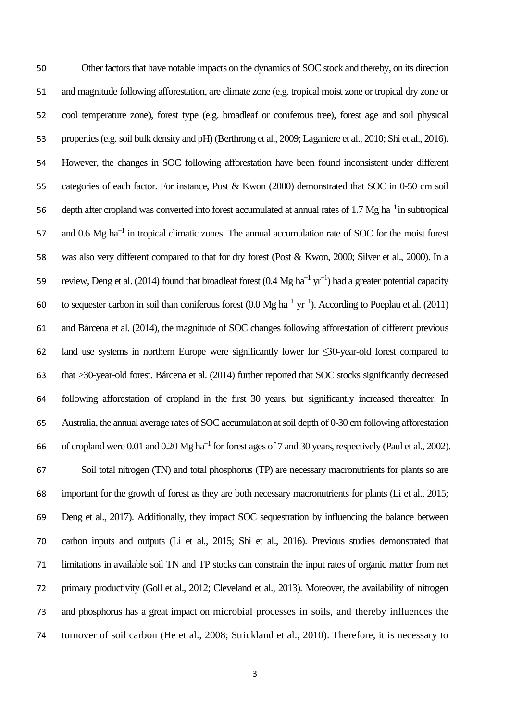| 50 | Other factors that have notable impacts on the dynamics of SOC stock and thereby, on its direction                                                            |
|----|---------------------------------------------------------------------------------------------------------------------------------------------------------------|
| 51 | and magnitude following afforestation, are climate zone (e.g. tropical moist zone or tropical dry zone or                                                     |
| 52 | cool temperature zone), forest type (e.g. broadleaf or coniferous tree), forest age and soil physical                                                         |
| 53 | properties (e.g. soil bulk density and pH) (Berthrong et al., 2009; Laganiere et al., 2010; Shi et al., 2016).                                                |
| 54 | However, the changes in SOC following afforestation have been found inconsistent under different                                                              |
| 55 | categories of each factor. For instance, Post & Kwon (2000) demonstrated that SOC in 0-50 cm soil                                                             |
| 56 | depth after cropland was converted into forest accumulated at annual rates of 1.7 Mg ha <sup>-1</sup> in subtropical                                          |
| 57 | and 0.6 Mg $ha^{-1}$ in tropical climatic zones. The annual accumulation rate of SOC for the moist forest                                                     |
| 58 | was also very different compared to that for dry forest (Post & Kwon, 2000; Silver et al., 2000). In a                                                        |
| 59 | review, Deng et al. (2014) found that broadleaf forest (0.4 Mg ha <sup><math>-1</math></sup> yr <sup><math>-1</math></sup> ) had a greater potential capacity |
| 60 | to sequester carbon in soil than coniferous forest $(0.0 \text{ Mg ha}^{-1} \text{ yr}^{-1})$ . According to Poeplau et al. (2011)                            |
| 61 | and Bárcena et al. (2014), the magnitude of SOC changes following afforestation of different previous                                                         |
| 62 | land use systems in northern Europe were significantly lower for $\leq 30$ -year-old forest compared to                                                       |
| 63 | that >30-year-old forest. Bárcena et al. (2014) further reported that SOC stocks significantly decreased                                                      |
| 64 | following afforestation of cropland in the first 30 years, but significantly increased thereafter. In                                                         |
| 65 | Australia, the annual average rates of SOC accumulation at soil depth of 0-30 cm following afforestation                                                      |
| 66 | of cropland were 0.01 and 0.20 Mg $ha^{-1}$ for forest ages of 7 and 30 years, respectively (Paul et al., 2002).                                              |
| 67 | Soil total nitrogen (TN) and total phosphorus (TP) are necessary macronutrients for plants so are                                                             |
| 68 | important for the growth of forest as they are both necessary macronutrients for plants (Li et al., 2015;                                                     |
| 69 | Deng et al., 2017). Additionally, they impact SOC sequestration by influencing the balance between                                                            |
| 70 | carbon inputs and outputs (Li et al., 2015; Shi et al., 2016). Previous studies demonstrated that                                                             |
| 71 | limitations in available soil TN and TP stocks can constrain the input rates of organic matter from net                                                       |
| 72 | primary productivity (Goll et al., 2012; Cleveland et al., 2013). Moreover, the availability of nitrogen                                                      |
| 73 | and phosphorus has a great impact on microbial processes in soils, and thereby influences the                                                                 |
| 74 | turnover of soil carbon (He et al., 2008; Strickland et al., 2010). Therefore, it is necessary to                                                             |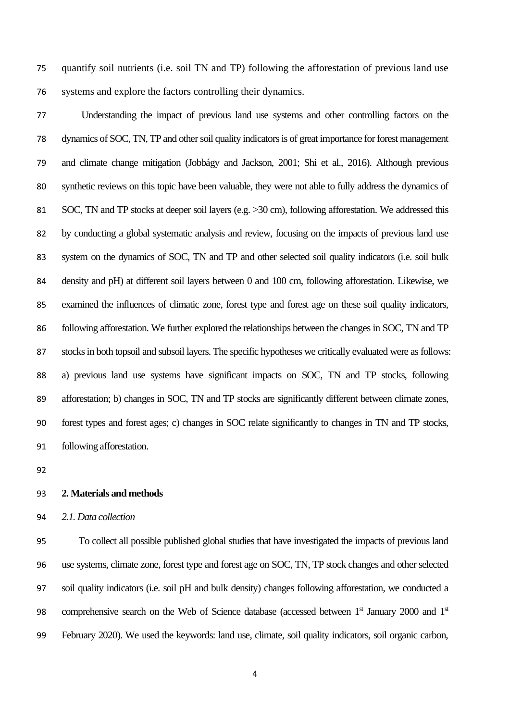quantify soil nutrients (i.e. soil TN and TP) following the afforestation of previous land use systems and explore the factors controlling their dynamics.

 Understanding the impact of previous land use systems and other controlling factors on the dynamics of SOC, TN, TP and other soil quality indicators is of great importance for forest management and climate change mitigation (Jobbágy and Jackson, 2001; Shi et al., 2016). Although previous synthetic reviews on this topic have been valuable, they were not able to fully address the dynamics of SOC, TN and TP stocks at deeper soil layers (e.g. >30 cm), following afforestation. We addressed this by conducting a global systematic analysis and review, focusing on the impacts of previous land use system on the dynamics of SOC, TN and TP and other selected soil quality indicators (i.e. soil bulk density and pH) at different soil layers between 0 and 100 cm, following afforestation. Likewise, we examined the influences of climatic zone, forest type and forest age on these soil quality indicators, following afforestation. We further explored the relationships between the changes in SOC, TN and TP stocks in both topsoil and subsoil layers. The specific hypotheses we critically evaluated were as follows: a) previous land use systems have significant impacts on SOC, TN and TP stocks, following afforestation; b) changes in SOC, TN and TP stocks are significantly different between climate zones, forest types and forest ages; c) changes in SOC relate significantly to changes in TN and TP stocks, following afforestation.

# **2. Materials and methods**

#### *2.1. Data collection*

 To collect all possible published global studies that have investigated the impacts of previous land use systems, climate zone, forest type and forest age on SOC, TN, TP stock changes and other selected soil quality indicators (i.e. soil pH and bulk density) changes following afforestation, we conducted a 98 comprehensive search on the Web of Science database (accessed between 1<sup>st</sup> January 2000 and 1<sup>st</sup> February 2020). We used the keywords: land use, climate, soil quality indicators, soil organic carbon,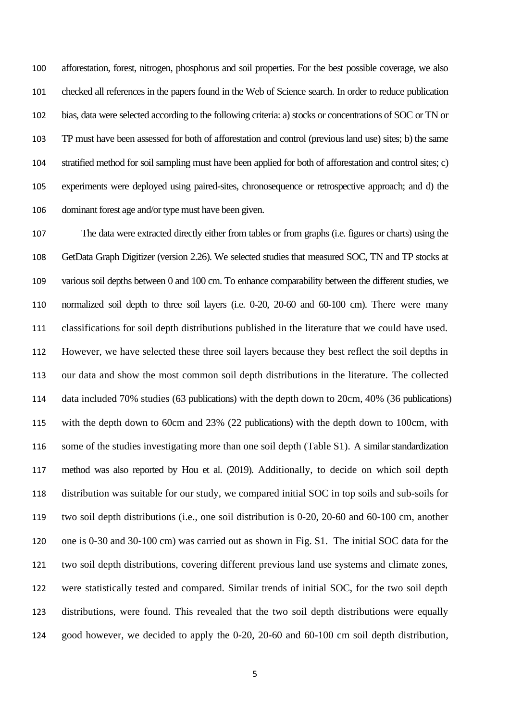afforestation, forest, nitrogen, phosphorus and soil properties. For the best possible coverage, we also checked all references in the papers found in the Web of Science search. In order to reduce publication bias, data were selected according to the following criteria: a) stocks or concentrations of SOC or TN or TP must have been assessed for both of afforestation and control (previous land use) sites; b) the same stratified method for soil sampling must have been applied for both of afforestation and control sites; c) experiments were deployed using paired-sites, chronosequence or retrospective approach; and d) the dominant forest age and/ortype must have been given.

 The data were extracted directly either from tables or from graphs (i.e. figures or charts) using the GetData Graph Digitizer (version 2.26). We selected studies that measured SOC, TN and TP stocks at various soil depths between 0 and 100 cm. To enhance comparability between the different studies, we normalized soil depth to three soil layers (i.e. 0-20, 20-60 and 60-100 cm). There were many classifications for soil depth distributions published in the literature that we could have used. However, we have selected these three soil layers because they best reflect the soil depths in our data and show the most common soil depth distributions in the literature. The collected data included 70% studies (63 publications) with the depth down to 20cm, 40% (36 publications) with the depth down to 60cm and 23% (22 publications) with the depth down to 100cm, with some of the studies investigating more than one soil depth (Table S1). A similar standardization method was also reported by Hou et al. (2019). Additionally, to decide on which soil depth distribution was suitable for our study, we compared initial SOC in top soils and sub-soils for two soil depth distributions (i.e., one soil distribution is 0-20, 20-60 and 60-100 cm, another one is 0-30 and 30-100 cm) was carried out as shown in Fig. S1. The initial SOC data for the two soil depth distributions, covering different previous land use systems and climate zones, were statistically tested and compared. Similar trends of initial SOC, for the two soil depth distributions, were found. This revealed that the two soil depth distributions were equally good however, we decided to apply the 0-20, 20-60 and 60-100 cm soil depth distribution,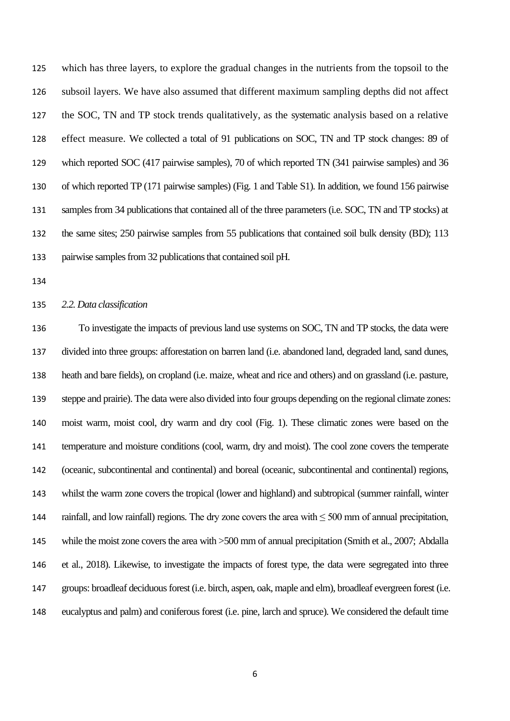which has three layers, to explore the gradual changes in the nutrients from the topsoil to the subsoil layers. We have also assumed that different maximum sampling depths did not affect the SOC, TN and TP stock trends qualitatively, as the systematic analysis based on a relative effect measure. We collected a total of 91 publications on SOC, TN and TP stock changes: 89 of which reported SOC (417 pairwise samples), 70 of which reported TN (341 pairwise samples) and 36 of which reported TP (171 pairwise samples) (Fig. 1 and Table S1). In addition, we found 156 pairwise 131 samples from 34 publications that contained all of the three parameters (i.e. SOC, TN and TP stocks) at the same sites; 250 pairwise samples from 55 publications that contained soil bulk density (BD); 113 133 pairwise samples from 32 publications that contained soil pH.

### *2.2. Data classification*

 To investigate the impacts of previous land use systems on SOC, TN and TP stocks, the data were divided into three groups: afforestation on barren land (i.e. abandoned land, degraded land, sand dunes, heath and bare fields), on cropland (i.e. maize, wheat and rice and others) and on grassland (i.e. pasture, steppe and prairie). The data were also divided into four groups depending on the regional climate zones: moist warm, moist cool, dry warm and dry cool (Fig. 1). These climatic zones were based on the temperature and moisture conditions (cool, warm, dry and moist). The cool zone covers the temperate (oceanic, subcontinental and continental) and boreal (oceanic, subcontinental and continental) regions, whilst the warm zone covers the tropical (lower and highland) and subtropical (summer rainfall, winter rainfall, and low rainfall) regions. The dry zone covers the area with ≤ 500 mm of annual precipitation, 145 while the moist zone covers the area with  $>500$  mm of annual precipitation (Smith et al., 2007; Abdalla et al., 2018). Likewise, to investigate the impacts of forest type, the data were segregated into three groups: broadleaf deciduous forest (i.e. birch, aspen, oak, maple and elm), broadleaf evergreen forest (i.e. eucalyptus and palm) and coniferous forest (i.e. pine, larch and spruce). We considered the default time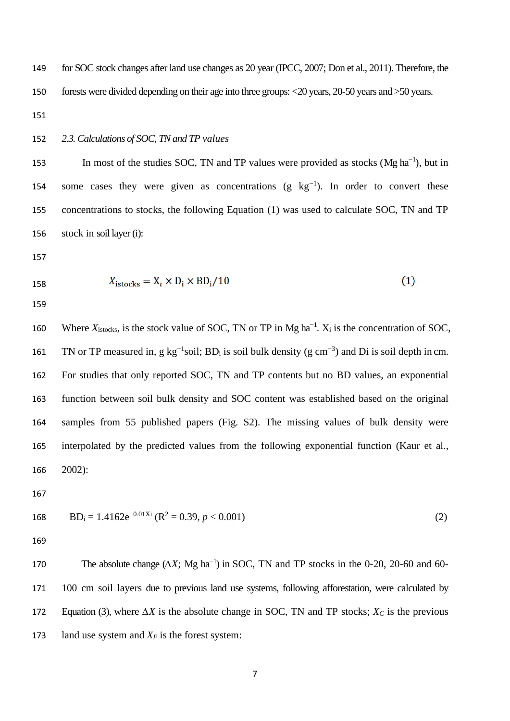for SOC stock changes after land use changes as 20 year (IPCC, 2007; Don et al., 2011). Therefore, the forests were divided depending on their age into three groups: <20 years, 20-50 years and >50 years.

# *2.3.Calculations of SOC, TN and TP values*

153 In most of the studies SOC, TN and TP values were provided as stocks (Mg ha<sup>-1</sup>), but in 154 some cases they were given as concentrations  $(g \ kg^{-1})$ . In order to convert these concentrations to stocks, the following Equation (1) was used to calculate SOC, TN and TP stock in soil layer (i):

$$
158 \\
$$

$$
X_{\text{istocks}} = X_i \times D_i \times BD_i / 10 \tag{1}
$$

160 Where  $X_{\text{istocks}}$ , is the stock value of SOC, TN or TP in Mg ha<sup>-1</sup>.  $X_i$  is the concentration of SOC, 161 TN or TP measured in, g kg<sup>-1</sup>soil; BD<sub>i</sub> is soil bulk density (g cm<sup>-3</sup>) and Di is soil depth in cm. For studies that only reported SOC, TN and TP contents but no BD values, an exponential function between soil bulk density and SOC content was established based on the original samples from 55 published papers (Fig. S2). The missing values of bulk density were interpolated by the predicted values from the following exponential function (Kaur et al., 2002):

168 BD<sub>i</sub> = 1.4162
$$
e^{-0.01Xi}
$$
 (R<sup>2</sup> = 0.39,  $p < 0.001$ ) (2)

170 The absolute change  $(\Delta X; Mg ha^{-1})$  in SOC, TN and TP stocks in the 0-20, 20-60 and 60- 100 cm soil layers due to previous land use systems, following afforestation, were calculated by Equation (3), where *∆X* is the absolute change in SOC, TN and TP stocks; *X<sup>C</sup>* is the previous 173 land use system and  $X_F$  is the forest system: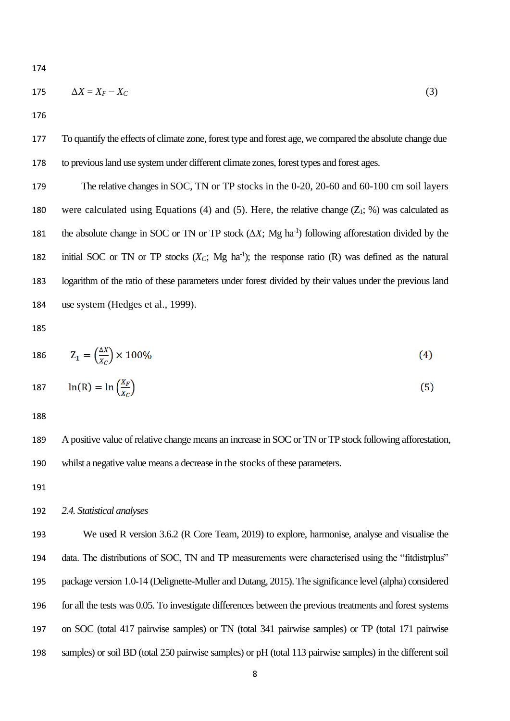$$
175 \qquad \Delta X = X_F - X_C \tag{3}
$$

 To quantify the effects of climate zone, forest type and forest age, we compared the absolute change due to previous land use system under different climate zones, forest types and forest ages.

179 The relative changes in SOC, TN or TP stocks in the 0-20, 20-60 and 60-100 cm soil layers 180 were calculated using Equations (4) and (5). Here, the relative change  $(Z_1; \%)$  was calculated as the absolute change in SOC or TN or TP stock (∆*X*; Mg ha-1 ) following afforestation divided by the 182 initial SOC or TN or TP stocks  $(X_C; Mg ha<sup>-1</sup>)$ ; the response ratio  $(R)$  was defined as the natural logarithm of the ratio of these parameters under forest divided by their values under the previous land use system (Hedges et al., 1999).

$$
186 \t Z_1 = \left(\frac{\Delta X}{X_C}\right) \times 100\% \t(4)
$$

$$
187 \qquad \ln(R) = \ln\left(\frac{X_F}{X_C}\right) \tag{5}
$$

 A positive value of relative change means an increase in SOC or TN or TP stock following afforestation, whilst a negative value means a decrease in the stocks of these parameters.

# *2.4. Statistical analyses*

 We used R version 3.6.2 (R Core Team, 2019) to explore, harmonise, analyse and visualise the data. The distributions of SOC, TN and TP measurements were characterised using the "fitdistrplus" package version 1.0‐14 (Delignette-Muller and Dutang, 2015). The significance level (alpha) considered for all the tests was 0.05. To investigate differences between the previous treatments and forest systems on SOC (total 417 pairwise samples) or TN (total 341 pairwise samples) or TP (total 171 pairwise samples) or soil BD (total 250 pairwise samples) or pH (total 113 pairwise samples) in the different soil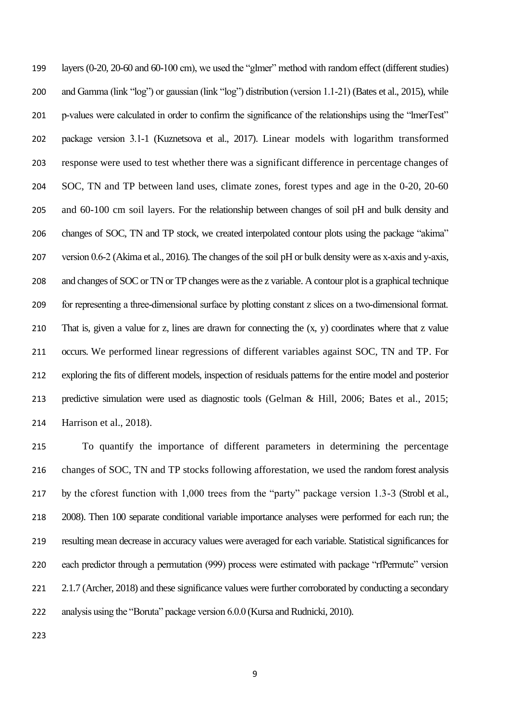layers (0-20, 20-60 and 60-100 cm), we used the "glmer" method with random effect (different studies) and Gamma (link "log") or gaussian (link "log") distribution (version 1.1‐21) (Bates et al., 2015), while 201 p-values were calculated in order to confirm the significance of the relationships using the "lmerTest" package version 3.1‐1 (Kuznetsova et al., 2017). Linear models with logarithm transformed response were used to test whether there was a significant difference in percentage changes of SOC, TN and TP between land uses, climate zones, forest types and age in the 0-20, 20-60 and 60-100 cm soil layers. For the relationship between changes of soil pH and bulk density and changes of SOC, TN and TP stock, we created interpolated contour plots using the package "akima" version 0.6‐2 (Akima et al., 2016). The changes of the soil pH or bulk density were as x‐axis and y‐axis, and changes of SOCor TN or TP changes were as the z variable. A contour plot is a graphical technique 209 for representing a three-dimensional surface by plotting constant z slices on a two-dimensional format. 210 That is, given a value for z, lines are drawn for connecting the  $(x, y)$  coordinates where that z value occurs. We performed linear regressions of different variables against SOC, TN and TP. For exploring the fits of different models, inspection of residuals patterns for the entire model and posterior predictive simulation were used as diagnostic tools (Gelman & Hill, 2006; Bates et al., 2015; Harrison et al., 2018).

 To quantify the importance of different parameters in determining the percentage changes of SOC, TN and TP stocks following afforestation, we used the random forest analysis by the cforest function with 1,000 trees from the "party" package version 1.3-3 (Strobl et al., 2008). Then 100 separate conditional variable importance analyses were performed for each run; the resulting mean decrease in accuracy values were averaged for each variable. Statistical significances for each predictor through a permutation (999) process were estimated with package "rfPermute" version 221 2.1.7 (Archer, 2018) and these significance values were further corroborated by conducting a secondary analysis using the "Boruta" package version 6.0.0 (Kursa and Rudnicki, 2010).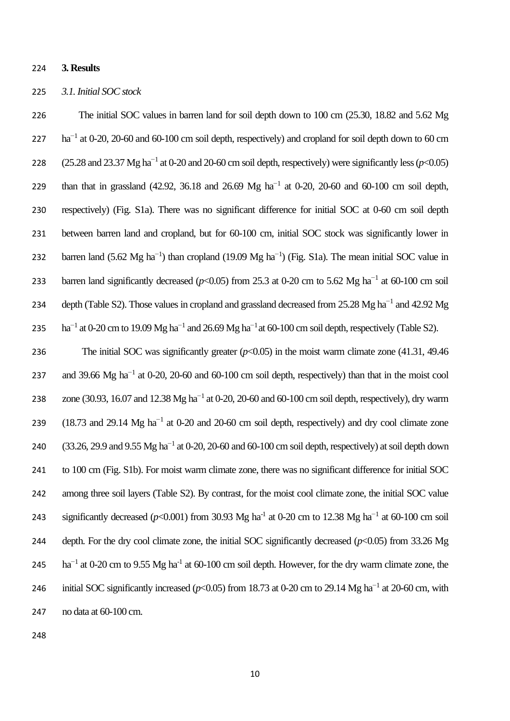### 224 **3. Results**

### 225 *3.1. Initial SOC stock*

226 The initial SOC values in barren land for soil depth down to 100 cm (25.30, 18.82 and 5.62 Mg  $227$  ha<sup>-1</sup> at 0-20, 20-60 and 60-100 cm soil depth, respectively) and cropland for soil depth down to 60 cm 228 (25.28 and 23.37 Mg ha<sup>-1</sup> at 0-20 and 20-60 cm soil depth, respectively) were significantly less ( $p$ <0.05) 229 than that in grassland (42.92, 36.18 and 26.69 Mg ha<sup>-1</sup> at 0-20, 20-60 and 60-100 cm soil depth, 230 respectively) (Fig. S1a). There was no significant difference for initial SOC at 0-60 cm soil depth 231 between barren land and cropland, but for 60-100 cm, initial SOC stock was significantly lower in 232 barren land (5.62 Mg ha<sup>-1</sup>) than cropland (19.09 Mg ha<sup>-1</sup>) (Fig. S1a). The mean initial SOC value in barren land significantly decreased ( $p$ <0.05) from 25.3 at 0-20 cm to 5.62 Mg ha<sup>-1</sup> at 60-100 cm soil 234 depth (Table S2). Those values in cropland and grassland decreased from 25.28 Mg ha<sup>-1</sup> and 42.92 Mg 235 ha<sup>-1</sup> at 0-20 cm to 19.09 Mg ha<sup>-1</sup> and 26.69 Mg ha<sup>-1</sup> at 60-100 cm soil depth, respectively (Table S2).

236 The initial SOC was significantly greater ( $p<0.05$ ) in the moist warm climate zone (41.31, 49.46 237 and 39.66 Mg ha<sup>-1</sup> at 0-20, 20-60 and 60-100 cm soil depth, respectively) than that in the moist cool 238 zone (30.93, 16.07 and 12.38 Mg ha<sup>-1</sup> at 0-20, 20-60 and 60-100 cm soil depth, respectively), dry warm 239 (18.73 and 29.14 Mg ha<sup>-1</sup> at 0-20 and 20-60 cm soil depth, respectively) and dry cool climate zone 240 (33.26, 29.9 and 9.55 Mg ha<sup>-1</sup> at 0-20, 20-60 and 60-100 cm soil depth, respectively) at soil depth down 241 to 100 cm (Fig. S1b). For moist warm climate zone, there was no significant difference for initial SOC 242 among three soil layers (Table S2). By contrast, for the moist cool climate zone, the initial SOC value 243 ignificantly decreased ( $p$ <0.001) from 30.93 Mg ha<sup>-1</sup> at 0-20 cm to 12.38 Mg ha<sup>-1</sup> at 60-100 cm soil 244 depth. For the dry cool climate zone, the initial SOC significantly decreased (*p*<0.05) from 33.26 Mg  $ha^{-1}$  at 0-20 cm to 9.55 Mg ha<sup>-1</sup> at 60-100 cm soil depth. However, for the dry warm climate zone, the 246 initial SOC significantly increased ( $p$ <0.05) from 18.73 at 0-20 cm to 29.14 Mg ha<sup>-1</sup> at 20-60 cm, with 247 no data at 60-100 cm.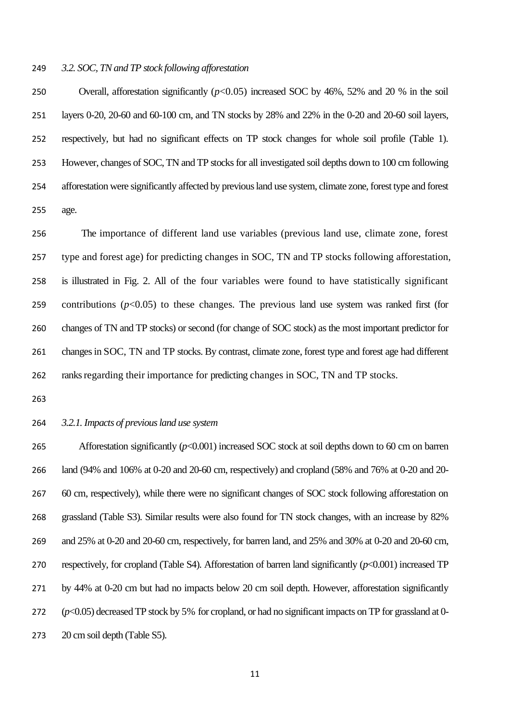### *3.2. SOC, TN and TP stock following afforestation*

 Overall, afforestation significantly (*p*<0.05) increased SOC by 46%, 52% and 20 % in the soil layers 0-20, 20-60 and 60-100 cm, and TN stocks by 28% and 22% in the 0-20 and 20-60 soil layers, respectively, but had no significant effects on TP stock changes for whole soil profile (Table 1). However, changes of SOC, TN and TP stocks for all investigated soil depths down to 100 cm following afforestation were significantly affected by previous land use system, climate zone, forest type and forest age.

 The importance of different land use variables (previous land use, climate zone, forest type and forest age) for predicting changes in SOC, TN and TP stocks following afforestation, is illustrated in Fig. 2. All of the four variables were found to have statistically significant 259 contributions  $(p<0.05)$  to these changes. The previous land use system was ranked first (for changes of TN and TP stocks) or second (for change of SOC stock) as the most important predictor for changes in SOC, TN and TP stocks. By contrast, climate zone, forest type and forest age had different ranks regarding their importance for predicting changes in SOC, TN and TP stocks.

## *3.2.1. Impacts of previous land use system*

 Afforestation significantly (*p*<0.001) increased SOC stock at soil depths down to 60 cm on barren land (94% and 106% at 0-20 and 20-60 cm, respectively) and cropland (58% and 76% at 0-20 and 20- 60 cm, respectively), while there were no significant changes of SOC stock following afforestation on grassland (Table S3). Similar results were also found for TN stock changes, with an increase by 82% and 25% at 0-20 and 20-60 cm, respectively, for barren land, and 25% and 30% at 0-20 and 20-60 cm, respectively, for cropland (Table S4). Afforestation of barren land significantly (*p*<0.001) increased TP by 44% at 0-20 cm but had no impacts below 20 cm soil depth. However, afforestation significantly 272 ( $p$ <0.05) decreased TP stock by 5% for cropland, or had no significant impacts on TP for grassland at 0-20 cm soil depth (Table S5).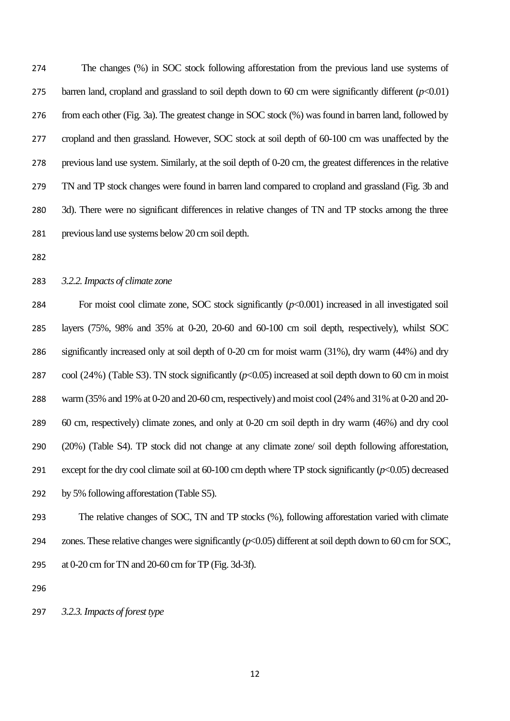The changes (%) in SOC stock following afforestation from the previous land use systems of 275 barren land, cropland and grassland to soil depth down to 60 cm were significantly different  $(p<0.01)$  from each other (Fig. 3a). The greatest change in SOC stock (%) was found in barren land, followed by cropland and then grassland. However, SOC stock at soil depth of 60-100 cm was unaffected by the previous land use system. Similarly, at the soil depth of 0-20 cm, the greatest differences in the relative TN and TP stock changes were found in barren land compared to cropland and grassland (Fig. 3b and 3d). There were no significant differences in relative changes of TN and TP stocks among the three previous land use systems below 20 cm soil depth.

### *3.2.2. Impacts of climate zone*

284 For moist cool climate zone, SOC stock significantly ( $p$ <0.001) increased in all investigated soil layers (75%, 98% and 35% at 0-20, 20-60 and 60-100 cm soil depth, respectively), whilst SOC significantly increased only at soil depth of 0-20 cm for moist warm (31%), dry warm (44%) and dry cool (24%) (Table S3). TN stock significantly (*p*<0.05) increased at soil depth down to 60 cm in moist warm (35% and 19% at 0-20 and 20-60 cm, respectively) and moist cool (24% and 31% at 0-20 and 20- 60 cm, respectively) climate zones, and only at 0-20 cm soil depth in dry warm (46%) and dry cool (20%) (Table S4). TP stock did not change at any climate zone/ soil depth following afforestation, except for the dry cool climate soil at 60-100 cm depth where TP stock significantly (*p*<0.05) decreased by 5% following afforestation (Table S5).

 The relative changes of SOC, TN and TP stocks (%), following afforestation varied with climate zones. These relative changes were significantly (*p*<0.05) different at soil depth down to 60 cm for SOC, at 0-20 cm for TN and 20-60 cm for TP (Fig. 3d-3f).

### *3.2.3. Impacts of forest type*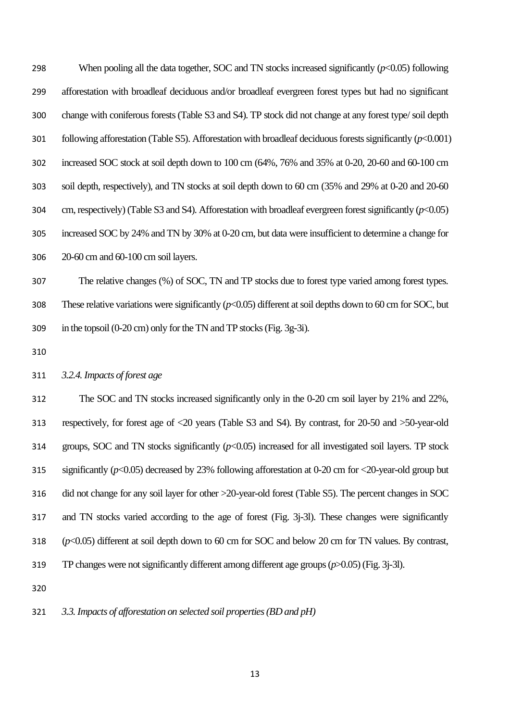298 When pooling all the data together, SOC and TN stocks increased significantly  $(p<0.05)$  following afforestation with broadleaf deciduous and/or broadleaf evergreen forest types but had no significant change with coniferous forests (Table S3 and S4). TP stock did not change at any forest type/ soil depth following afforestation (Table S5). Afforestation with broadleaf deciduous forests significantly (*p*<0.001) increased SOC stock at soil depth down to 100 cm (64%, 76% and 35% at 0-20, 20-60 and 60-100 cm soil depth, respectively), and TN stocks at soil depth down to 60 cm (35% and 29% at 0-20 and 20-60 cm, respectively) (Table S3 and S4). Afforestation with broadleaf evergreen forest significantly (*p*<0.05) increased SOC by 24% and TN by 30% at 0-20 cm, but data were insufficient to determine a change for 20-60 cm and 60-100 cm soil layers.

 The relative changes (%) of SOC, TN and TP stocks due to forest type varied among forest types. These relative variations were significantly (*p*<0.05) different at soil depths down to 60 cm for SOC, but in the topsoil (0-20 cm) only for the TN and TP stocks (Fig. 3g-3i).

# *3.2.4. Impacts of forest age*

 The SOC and TN stocks increased significantly only in the 0-20 cm soil layer by 21% and 22%, respectively, for forest age of <20 years (Table S3 and S4). By contrast, for 20-50 and >50-year-old 314 groups, SOC and TN stocks significantly ( $p$ <0.05) increased for all investigated soil layers. TP stock significantly (*p*<0.05) decreased by 23% following afforestation at 0-20 cm for <20-year-old group but did not change for any soil layer for other >20-year-old forest (Table S5). The percent changes in SOC and TN stocks varied according to the age of forest (Fig. 3j-3l). These changes were significantly (*p*<0.05) different at soil depth down to 60 cm for SOC and below 20 cm for TN values. By contrast, TP changes were not significantly different among different age groups (*p*>0.05) (Fig. 3j-3l).

## *3.3. Impacts of afforestation on selected soil properties (BD and pH)*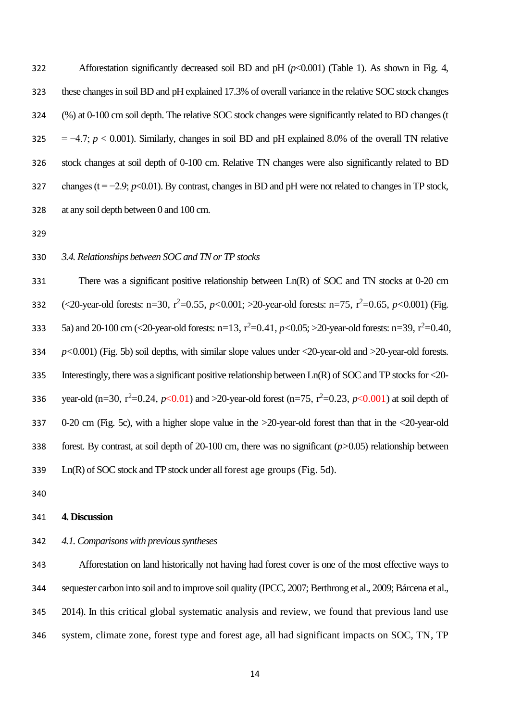Afforestation significantly decreased soil BD and pH (*p*<0.001) (Table 1). As shown in Fig. 4, these changes in soil BD and pH explained 17.3% of overall variance in the relative SOC stock changes (%) at 0-100 cm soil depth. The relative SOC stock changes were significantly related to BD changes (t 325 =  $-4.7$ ; *p* < 0.001). Similarly, changes in soil BD and pH explained 8.0% of the overall TN relative stock changes at soil depth of 0-100 cm. Relative TN changes were also significantly related to BD changes (t = −2.9; *p*<0.01). By contrast, changes in BD and pH were not related to changes in TP stock, at any soil depth between 0 and 100 cm.

# *3.4. Relationships between SOC and TN or TP stocks*

 There was a significant positive relationship between Ln(R) of SOC and TN stocks at 0-20 cm 332 (<20-year-old forests: n=30, r<sup>2</sup>=0.55, *p*<0.001; >20-year-old forests: n=75, r<sup>2</sup>=0.65, *p*<0.001) (Fig. 333 5a) and 20-100 cm (<20-year-old forests:  $n=13$ ,  $r^2=0.41$ ,  $p<0.05$ ; >20-year-old forests:  $n=39$ ,  $r^2=0.40$ , *p<*0.001) (Fig. 5b) soil depths, with similar slope values under <20-year-old and >20-year-old forests. Interestingly, there was a significant positive relationship between Ln(R) of SOC and TP stocks for <20- 336 year-old (n=30,  $r^2$ =0.24,  $p$ <0.01) and >20-year-old forest (n=75,  $r^2$ =0.23,  $p$ <0.001) at soil depth of 0-20 cm (Fig. 5c), with a higher slope value in the >20-year-old forest than that in the <20-year-old forest. By contrast, at soil depth of 20-100 cm, there was no significant (*p>*0.05) relationship between Ln(R) of SOC stock and TP stock under all forest age groups (Fig. 5d).

#### **4. Discussion**

# *4.1.Comparisons with previous syntheses*

 Afforestation on land historically not having had forest cover is one of the most effective ways to sequester carbon into soil and to improve soil quality (IPCC, 2007; Berthrong et al., 2009; Bárcena et al., 2014). In this critical global systematic analysis and review, we found that previous land use system, climate zone, forest type and forest age, all had significant impacts on SOC, TN, TP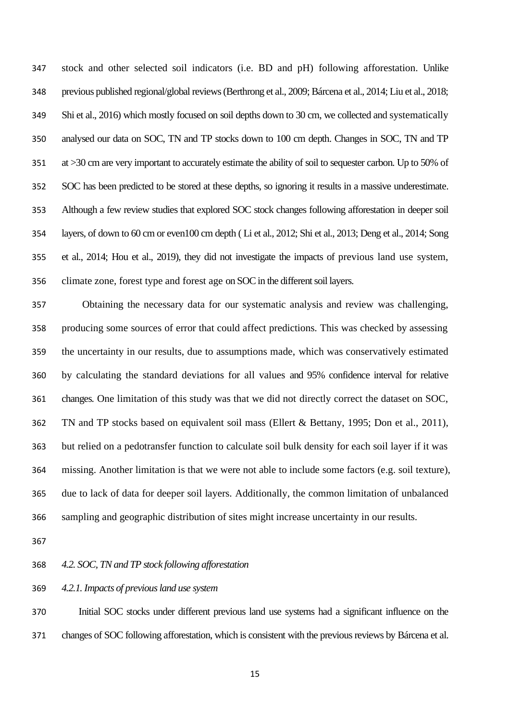stock and other selected soil indicators (i.e. BD and pH) following afforestation. Unlike previous published regional/global reviews(Berthrong et al., 2009; Bárcena et al., 2014; Liu et al., 2018; Shi et al., 2016) which mostly focused on soil depths down to 30 cm, we collected and systematically analysed our data on SOC, TN and TP stocks down to 100 cm depth. Changes in SOC, TN and TP at >30 cm are very important to accurately estimate the ability of soil to sequester carbon. Up to 50% of SOC has been predicted to be stored at these depths, so ignoring it results in a massive underestimate. Although a few review studies that explored SOC stock changes following afforestation in deeper soil layers, of down to 60 cm or even100 cm depth ( Li et al., 2012; Shi et al., 2013; Deng et al., 2014; Song et al., 2014; Hou et al., 2019), they did not investigate the impacts of previous land use system, climate zone, forest type and forest age on SOC in the different soil layers.

 Obtaining the necessary data for our systematic analysis and review was challenging, producing some sources of error that could affect predictions. This was checked by assessing the uncertainty in our results, due to assumptions made, which was conservatively estimated by calculating the standard deviations for all values and 95% confidence interval for relative changes. One limitation of this study was that we did not directly correct the dataset on SOC, TN and TP stocks based on equivalent soil mass (Ellert & Bettany, 1995; Don et al., 2011), but relied on a pedotransfer function to calculate soil bulk density for each soil layer if it was missing. Another limitation is that we were not able to include some factors (e.g. soil texture), due to lack of data for deeper soil layers. Additionally, the common limitation of unbalanced sampling and geographic distribution of sites might increase uncertainty in our results.

*4.2. SOC, TN and TP stock following afforestation*

*4.2.1. Impacts of previousland use system*

 Initial SOC stocks under different previous land use systems had a significant influence on the 371 changes of SOC following afforestation, which is consistent with the previous reviews by Bárcena et al.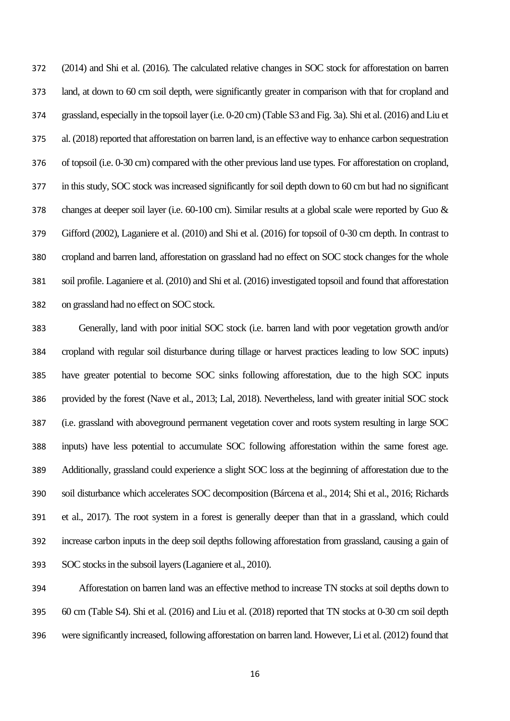(2014) and Shi et al. (2016). The calculated relative changes in SOC stock for afforestation on barren land, at down to 60 cm soil depth, were significantly greater in comparison with that for cropland and grassland, especially in the topsoil layer (i.e. 0-20 cm) (Table S3 and Fig. 3a). Shi et al. (2016) and Liu et al. (2018) reported that afforestation on barren land, is an effective way to enhance carbon sequestration of topsoil (i.e. 0-30 cm) compared with the other previous land use types. For afforestation on cropland, in this study, SOC stock was increased significantly for soil depth down to 60 cm but had no significant changes at deeper soil layer (i.e. 60-100 cm). Similar results at a global scale were reported by Guo & Gifford (2002), Laganiere et al. (2010) and Shi et al. (2016) for topsoil of 0-30 cm depth. In contrast to cropland and barren land, afforestation on grassland had no effect on SOC stock changes for the whole soil profile. Laganiere et al. (2010) and Shi et al. (2016) investigated topsoil and found that afforestation on grassland had no effect on SOC stock.

 Generally, land with poor initial SOC stock (i.e. barren land with poor vegetation growth and/or cropland with regular soil disturbance during tillage or harvest practices leading to low SOC inputs) have greater potential to become SOC sinks following afforestation, due to the high SOC inputs provided by the forest (Nave et al., 2013; Lal, 2018). Nevertheless, land with greater initial SOC stock (i.e. grassland with aboveground permanent vegetation cover and roots system resulting in large SOC inputs) have less potential to accumulate SOC following afforestation within the same forest age. Additionally, grassland could experience a slight SOC loss at the beginning of afforestation due to the soil disturbance which accelerates SOC decomposition (Bárcena et al., 2014; Shi et al., 2016; Richards et al., 2017). The root system in a forest is generally deeper than that in a grassland, which could increase carbon inputs in the deep soil depths following afforestation from grassland, causing a gain of SOC stocks in the subsoil layers (Laganiere et al., 2010).

 Afforestation on barren land was an effective method to increase TN stocks at soil depths down to 60 cm (Table S4). Shi et al. (2016) and Liu et al. (2018) reported that TN stocks at 0-30 cm soil depth were significantly increased, following afforestation on barren land. However, Li et al. (2012) found that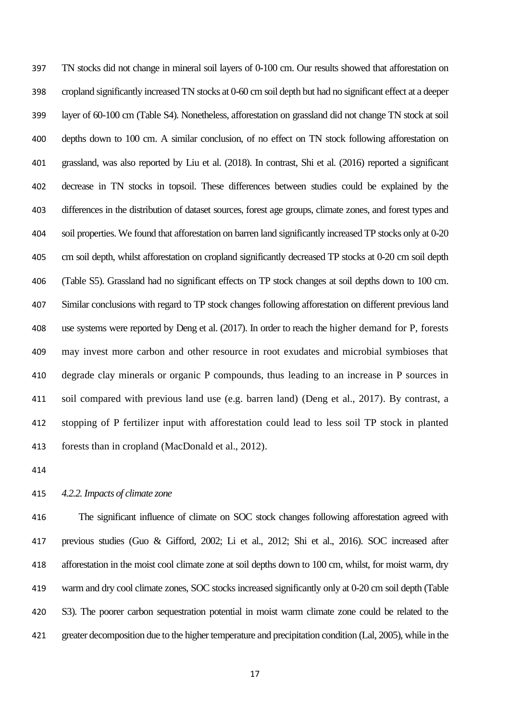TN stocks did not change in mineral soil layers of 0-100 cm. Our results showed that afforestation on cropland significantly increased TN stocks at 0-60 cm soil depth but had no significant effect at a deeper layer of 60-100 cm (Table S4). Nonetheless, afforestation on grassland did not change TN stock at soil depths down to 100 cm. A similar conclusion, of no effect on TN stock following afforestation on grassland, was also reported by Liu et al. (2018). In contrast, Shi et al. (2016) reported a significant decrease in TN stocks in topsoil. These differences between studies could be explained by the differences in the distribution of dataset sources, forest age groups, climate zones, and forest types and soil properties. We found that afforestation on barren land significantly increased TP stocks only at 0-20 cm soil depth, whilst afforestation on cropland significantly decreased TP stocks at 0-20 cm soil depth (Table S5). Grassland had no significant effects on TP stock changes at soil depths down to 100 cm. Similar conclusions with regard to TP stock changes following afforestation on different previous land use systems were reported by Deng et al. (2017). In order to reach the higher demand for P, forests may invest more carbon and other resource in root exudates and microbial symbioses that degrade clay minerals or organic P compounds, thus leading to an increase in P sources in soil compared with previous land use (e.g. barren land) (Deng et al., 2017). By contrast, a stopping of P fertilizer input with afforestation could lead to less soil TP stock in planted forests than in cropland (MacDonald et al., 2012).

### *4.2.2. Impacts of climate zone*

 The significant influence of climate on SOC stock changes following afforestation agreed with previous studies (Guo & Gifford, 2002; Li et al., 2012; Shi et al., 2016). SOC increased after afforestation in the moist cool climate zone at soil depths down to 100 cm, whilst, for moist warm, dry warm and dry cool climate zones, SOC stocks increased significantly only at 0-20 cm soil depth (Table S3). The poorer carbon sequestration potential in moist warm climate zone could be related to the greater decomposition due to the higher temperature and precipitation condition (Lal, 2005), while in the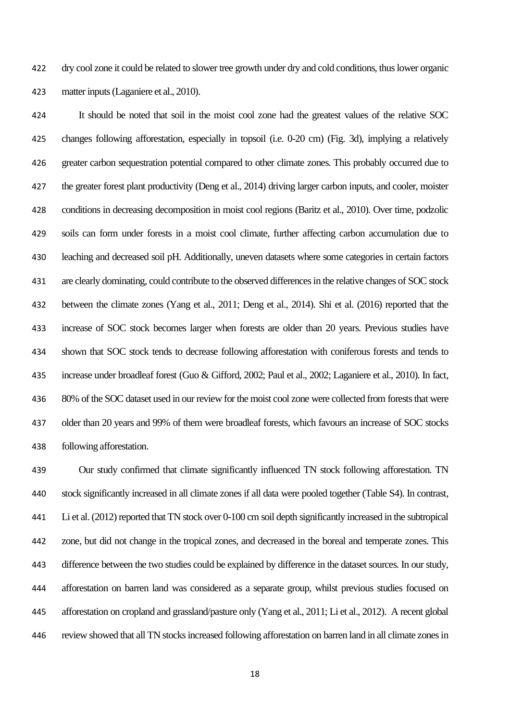dry cool zone it could be related to slower tree growth under dry and cold conditions, thus lower organic matter inputs(Laganiere et al., 2010).

 It should be noted that soil in the moist cool zone had the greatest values of the relative SOC changes following afforestation, especially in topsoil (i.e. 0-20 cm) (Fig. 3d), implying a relatively greater carbon sequestration potential compared to other climate zones. This probably occurred due to 427 the greater forest plant productivity (Deng et al., 2014) driving larger carbon inputs, and cooler, moister conditions in decreasing decomposition in moist cool regions (Baritz et al., 2010). Over time, podzolic soils can form under forests in a moist cool climate, further affecting carbon accumulation due to leaching and decreased soil pH. Additionally, uneven datasets where some categories in certain factors are clearly dominating, could contribute to the observed differences in the relative changes of SOC stock between the climate zones (Yang et al., 2011; Deng et al., 2014). Shi et al. (2016) reported that the increase of SOC stock becomes larger when forests are older than 20 years. Previous studies have shown that SOC stock tends to decrease following afforestation with coniferous forests and tends to increase under broadleaf forest (Guo & Gifford, 2002; Paul et al., 2002; Laganiere et al., 2010). In fact, 80% of the SOC dataset used in our review for the moist cool zone were collected from forests that were older than 20 years and 99% of them were broadleaf forests, which favours an increase of SOC stocks following afforestation.

 Our study confirmed that climate significantly influenced TN stock following afforestation. TN stock significantly increased in all climate zones if all data were pooled together (Table S4). In contrast, Li et al. (2012) reported that TN stock over 0-100 cm soil depth significantly increased in the subtropical zone, but did not change in the tropical zones, and decreased in the boreal and temperate zones. This difference between the two studies could be explained by difference in the datasetsources. In our study, afforestation on barren land was considered as a separate group, whilst previous studies focused on afforestation on cropland and grassland/pasture only (Yang et al., 2011; Li et al., 2012). A recent global review showed that all TN stocks increased following afforestation on barren land in all climate zones in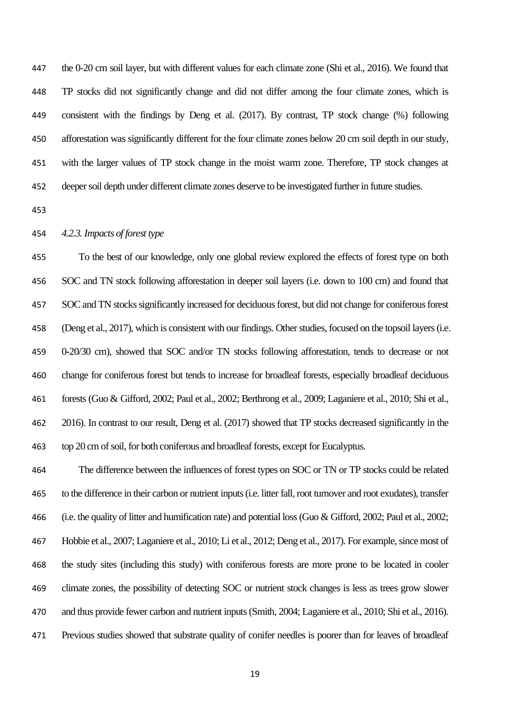the 0-20 cm soil layer, but with different values for each climate zone (Shi et al., 2016). We found that TP stocks did not significantly change and did not differ among the four climate zones, which is consistent with the findings by Deng et al. (2017). By contrast, TP stock change (%) following afforestation was significantly different for the four climate zones below 20 cm soil depth in our study, with the larger values of TP stock change in the moist warm zone. Therefore, TP stock changes at deeper soil depth under different climate zones deserve to be investigated further in future studies.

### *4.2.3. Impacts of forest type*

 To the best of our knowledge, only one global review explored the effects of forest type on both SOC and TN stock following afforestation in deeper soil layers (i.e. down to 100 cm) and found that 457 SOC and TN stocks significantly increased for deciduous forest, but did not change for coniferous forest 458 (Deng et al., 2017), which is consistent with our findings. Other studies, focused on the topsoil layers (i.e. 0-20/30 cm), showed that SOC and/or TN stocks following afforestation, tends to decrease or not change for coniferous forest but tends to increase for broadleaf forests, especially broadleaf deciduous forests(Guo & Gifford, 2002; Paul et al., 2002; Berthrong et al., 2009; Laganiere et al., 2010; Shi et al., 2016). In contrast to our result, Deng et al. (2017) showed that TP stocks decreased significantly in the top 20 cm of soil, for both coniferous and broadleaf forests, except for Eucalyptus.

 The difference between the influences of forest types on SOC or TN or TP stocks could be related to the difference in their carbon or nutrient inputs (i.e. litter fall, root turnover and root exudates), transfer (i.e. the quality of litter and humification rate) and potential loss (Guo & Gifford, 2002; Paul et al., 2002; Hobbie et al., 2007; Laganiere et al., 2010; Li et al., 2012; Deng et al., 2017). For example, since most of the study sites (including this study) with coniferous forests are more prone to be located in cooler climate zones, the possibility of detecting SOC or nutrient stock changes is less as trees grow slower and thus provide fewer carbon and nutrient inputs(Smith, 2004; Laganiere et al., 2010; Shi et al., 2016). Previous studies showed that substrate quality of conifer needles is poorer than for leaves of broadleaf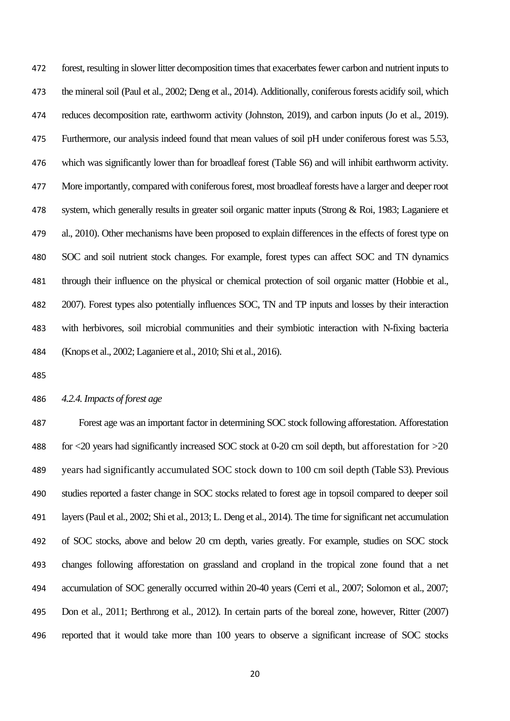472 forest, resulting in slower litter decomposition times that exacerbates fewer carbon and nutrient inputs to 473 the mineral soil (Paul et al., 2002; Deng et al., 2014). Additionally, coniferous forests acidify soil, which reduces decomposition rate, earthworm activity (Johnston, 2019), and carbon inputs (Jo et al., 2019). Furthermore, our analysis indeed found that mean values of soil pH under coniferous forest was 5.53, which was significantly lower than for broadleaf forest (Table S6) and will inhibit earthworm activity. More importantly, compared with coniferous forest, most broadleaf forests have a larger and deeper root system, which generally results in greater soil organic matter inputs (Strong & Roi, 1983; Laganiere et al., 2010). Other mechanisms have been proposed to explain differences in the effects of forest type on SOC and soil nutrient stock changes. For example, forest types can affect SOC and TN dynamics through their influence on the physical or chemical protection of soil organic matter (Hobbie et al., 2007). Forest types also potentially influences SOC, TN and TP inputs and losses by their interaction with herbivores, soil microbial communities and their symbiotic interaction with N-fixing bacteria (Knops et al., 2002; Laganiere et al., 2010; Shi et al., 2016).

# *4.2.4. Impacts of forest age*

 Forest age was an important factor in determining SOC stock following afforestation. Afforestation for <20 years had significantly increased SOC stock at 0-20 cm soil depth, but afforestation for >20 years had significantly accumulated SOC stock down to 100 cm soil depth (Table S3). Previous studies reported a faster change in SOC stocks related to forest age in topsoil compared to deeper soil layers(Paul et al., 2002; Shi et al., 2013; L. Deng et al., 2014). The time for significant net accumulation of SOC stocks, above and below 20 cm depth, varies greatly. For example, studies on SOC stock changes following afforestation on grassland and cropland in the tropical zone found that a net accumulation of SOC generally occurred within 20-40 years (Cerri et al., 2007; Solomon et al., 2007; Don et al., 2011; Berthrong et al., 2012). In certain parts of the boreal zone, however, Ritter (2007) reported that it would take more than 100 years to observe a significant increase of SOC stocks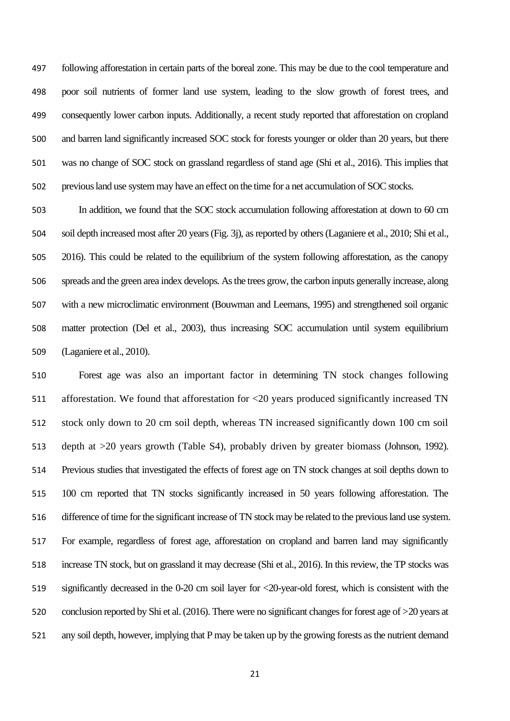following afforestation in certain parts of the boreal zone. This may be due to the cool temperature and poor soil nutrients of former land use system, leading to the slow growth of forest trees, and consequently lower carbon inputs. Additionally, a recent study reported that afforestation on cropland and barren land significantly increased SOC stock for forests younger or older than 20 years, but there was no change of SOC stock on grassland regardless of stand age (Shi et al., 2016). This implies that previous land use system may have an effect on the time for a net accumulation of SOC stocks.

 In addition, we found that the SOC stock accumulation following afforestation at down to 60 cm soil depth increased most after 20 years(Fig. 3j), as reported by others(Laganiere et al., 2010; Shi et al., 2016). This could be related to the equilibrium of the system following afforestation, as the canopy spreads and the green area index develops. As the trees grow, the carbon inputs generally increase, along with a new microclimatic environment (Bouwman and Leemans, 1995) and strengthened soil organic matter protection (Del et al., 2003), thus increasing SOC accumulation until system equilibrium (Laganiere et al., 2010).

 Forest age was also an important factor in determining TN stock changes following afforestation. We found that afforestation for <20 years produced significantly increased TN stock only down to 20 cm soil depth, whereas TN increased significantly down 100 cm soil depth at >20 years growth (Table S4), probably driven by greater biomass (Johnson, 1992). Previous studies that investigated the effects of forest age on TN stock changes at soil depths down to 100 cm reported that TN stocks significantly increased in 50 years following afforestation. The difference of time for the significant increase of TN stock may be related to the previous land use system. For example, regardless of forest age, afforestation on cropland and barren land may significantly increase TN stock, but on grassland it may decrease (Shi et al., 2016). In this review, the TP stocks was significantly decreased in the 0-20 cm soil layer for <20-year-old forest, which is consistent with the conclusion reported by Shi et al. (2016). There were no significant changes for forest age of >20 years at any soil depth, however, implying that P may be taken up by the growing forests as the nutrient demand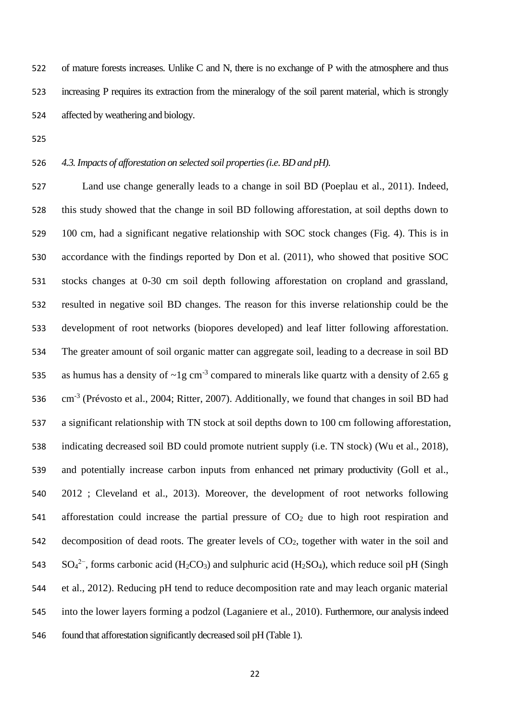of mature forests increases. Unlike C and N, there is no exchange of P with the atmosphere and thus increasing P requires its extraction from the mineralogy of the soil parent material, which is strongly affected by weathering and biology.

*4.3. Impacts of afforestation on selected soil properties (i.e. BD and pH).*

 Land use change generally leads to a change in soil BD (Poeplau et al., 2011). Indeed, this study showed that the change in soil BD following afforestation, at soil depths down to 100 cm, had a significant negative relationship with SOC stock changes (Fig. 4). This is in accordance with the findings reported by Don et al. (2011), who showed that positive SOC stocks changes at 0-30 cm soil depth following afforestation on cropland and grassland, resulted in negative soil BD changes. The reason for this inverse relationship could be the development of root networks (biopores developed) and leaf litter following afforestation. The greater amount of soil organic matter can aggregate soil, leading to a decrease in soil BD 535 as humus has a density of  $\sim$ 1g cm<sup>-3</sup> compared to minerals like quartz with a density of 2.65 g 536 cm<sup>-3</sup> (Prévosto et al., 2004; Ritter, 2007). Additionally, we found that changes in soil BD had a significant relationship with TN stock at soil depths down to 100 cm following afforestation, indicating decreased soil BD could promote nutrient supply (i.e. TN stock) (Wu et al., 2018), and potentially increase carbon inputs from enhanced net primary productivity (Goll et al., 2012 ; Cleveland et al., 2013). Moreover, the development of root networks following 541 afforestation could increase the partial pressure of  $CO<sub>2</sub>$  due to high root respiration and 542 decomposition of dead roots. The greater levels of  $CO<sub>2</sub>$ , together with water in the soil and 543 SO<sub>4</sub><sup>2-</sup>, forms carbonic acid (H<sub>2</sub>CO<sub>3</sub>) and sulphuric acid (H<sub>2</sub>SO<sub>4</sub>), which reduce soil pH (Singh et al., 2012). Reducing pH tend to reduce decomposition rate and may leach organic material into the lower layers forming a podzol (Laganiere et al., 2010). Furthermore, our analysis indeed found that afforestation significantly decreased soil pH (Table 1).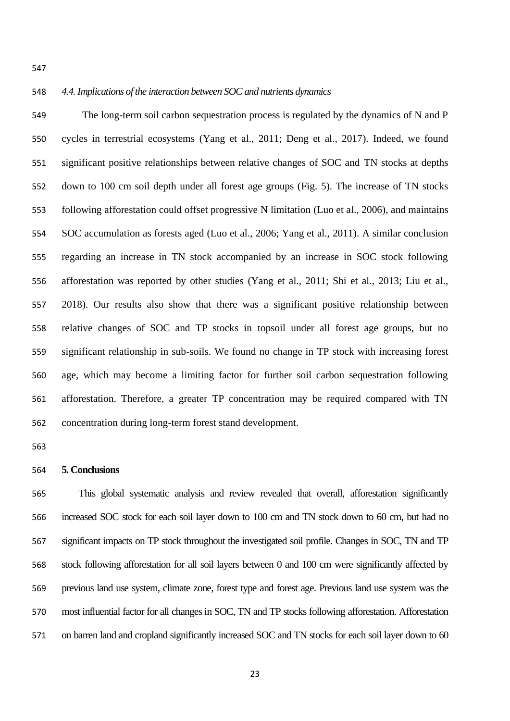#### *4.4. Implications of the interaction between SOC and nutrients dynamics*

 The long-term soil carbon sequestration process is regulated by the dynamics of N and P cycles in terrestrial ecosystems (Yang et al., 2011; Deng et al., 2017). Indeed, we found significant positive relationships between relative changes of SOC and TN stocks at depths down to 100 cm soil depth under all forest age groups (Fig. 5). The increase of TN stocks following afforestation could offset progressive N limitation (Luo et al., 2006), and maintains SOC accumulation as forests aged (Luo et al., 2006; Yang et al., 2011). A similar conclusion regarding an increase in TN stock accompanied by an increase in SOC stock following afforestation was reported by other studies (Yang et al., 2011; Shi et al., 2013; Liu et al., 2018). Our results also show that there was a significant positive relationship between relative changes of SOC and TP stocks in topsoil under all forest age groups, but no significant relationship in sub-soils. We found no change in TP stock with increasing forest age, which may become a limiting factor for further soil carbon sequestration following afforestation. Therefore, a greater TP concentration may be required compared with TN concentration during long-term forest stand development.

#### **5. Conclusions**

 This global systematic analysis and review revealed that overall, afforestation significantly increased SOC stock for each soil layer down to 100 cm and TN stock down to 60 cm, but had no significant impacts on TP stock throughout the investigated soil profile. Changes in SOC, TN and TP stock following afforestation for all soil layers between 0 and 100 cm were significantly affected by previous land use system, climate zone, forest type and forest age. Previous land use system was the most influential factor for all changes in SOC, TN and TP stocks following afforestation. Afforestation on barren land and cropland significantly increased SOC and TN stocks for each soil layer down to 60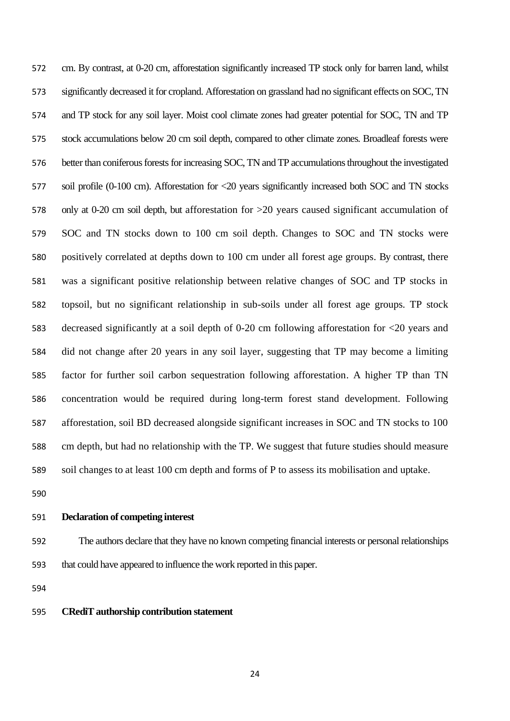cm. By contrast, at 0-20 cm, afforestation significantly increased TP stock only for barren land, whilst significantly decreased it for cropland. Afforestation on grassland had no significant effects on SOC, TN and TP stock for any soil layer. Moist cool climate zones had greater potential for SOC, TN and TP stock accumulations below 20 cm soil depth, compared to other climate zones. Broadleaf forests were better than coniferous forests for increasing SOC, TN and TP accumulations throughout the investigated soil profile (0-100 cm). Afforestation for <20 years significantly increased both SOC and TN stocks only at 0-20 cm soil depth, but afforestation for >20 years caused significant accumulation of SOC and TN stocks down to 100 cm soil depth. Changes to SOC and TN stocks were positively correlated at depths down to 100 cm under all forest age groups. By contrast, there was a significant positive relationship between relative changes of SOC and TP stocks in topsoil, but no significant relationship in sub-soils under all forest age groups. TP stock decreased significantly at a soil depth of 0-20 cm following afforestation for <20 years and did not change after 20 years in any soil layer, suggesting that TP may become a limiting factor for further soil carbon sequestration following afforestation. A higher TP than TN concentration would be required during long-term forest stand development. Following afforestation, soil BD decreased alongside significant increases in SOC and TN stocks to 100 cm depth, but had no relationship with the TP. We suggest that future studies should measure soil changes to at least 100 cm depth and forms of P to assess its mobilisation and uptake.

### **Declaration of competing interest**

 The authors declare that they have no known competing financial interests or personal relationships that could have appeared to influence the work reported in this paper.

#### **CRediT authorship contribution statement**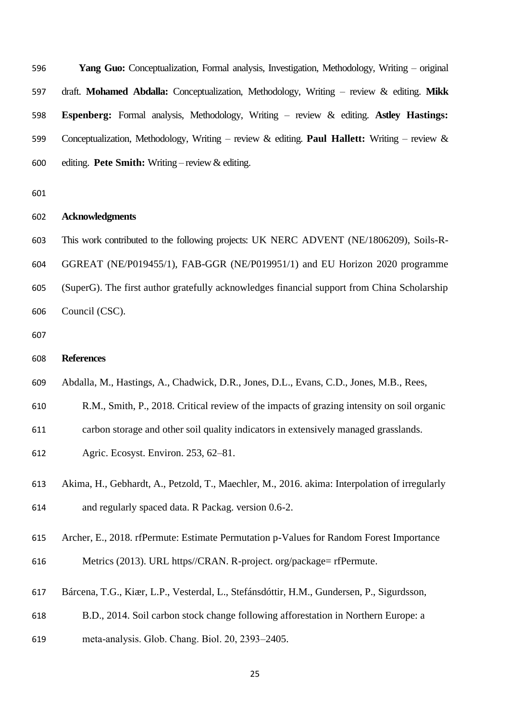**Yang Guo:** Conceptualization, Formal analysis, Investigation, Methodology, Writing – original draft. **Mohamed Abdalla:** Conceptualization, Methodology, Writing – review & editing. **Mikk Espenberg:** Formal analysis, Methodology, Writing – review & editing. **Astley [Hastings](https://www.abdn.ac.uk/ibes/research/groups/environmental-modelling/profiles/astley.hastings):** Conceptualization, Methodology, Writing – review & editing. **Paul Hallett:** Writing – review & editing. **Pete Smith:** Writing – review & editing.

### **Acknowledgments**

 This work contributed to the following projects: UK NERC ADVENT (NE/1806209), Soils-R- GGREAT (NE/P019455/1), FAB-GGR (NE/P019951/1) and EU Horizon 2020 programme (SuperG). The first author gratefully acknowledges financial support from China Scholarship Council (CSC).

### **References**

- Abdalla, M., Hastings, A., Chadwick, D.R., Jones, D.L., Evans, C.D., Jones, M.B., Rees,
- R.M., Smith, P., 2018. Critical review of the impacts of grazing intensity on soil organic
- carbon storage and other soil quality indicators in extensively managed grasslands.
- Agric. Ecosyst. Environ. 253, 62–81.
- Akima, H., Gebhardt, A., Petzold, T., Maechler, M., 2016. akima: Interpolation of irregularly and regularly spaced data. R Packag. version 0.6-2.
- Archer, E., 2018. rfPermute: Estimate Permutation p-Values for Random Forest Importance
- Metrics (2013). URL https//CRAN. R-project. org/package= rfPermute.
- Bárcena, T.G., Kiær, L.P., Vesterdal, L., Stefánsdóttir, H.M., Gundersen, P., Sigurdsson,
- B.D., 2014. Soil carbon stock change following afforestation in Northern Europe: a
- meta‐analysis. Glob. Chang. Biol. 20, 2393–2405.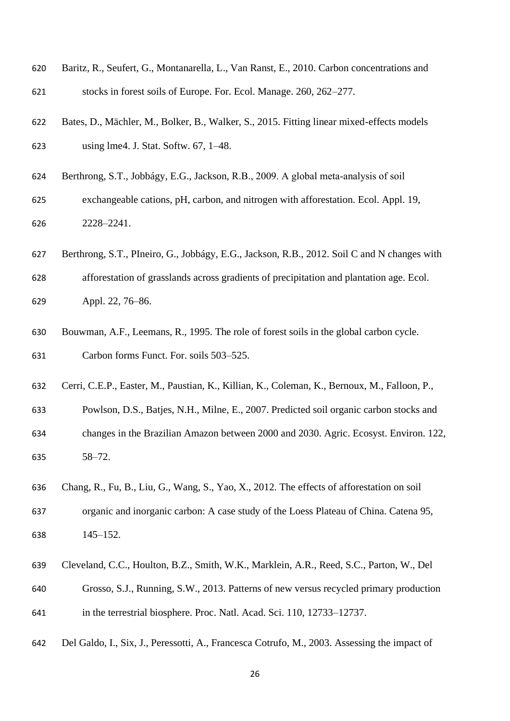- Baritz, R., Seufert, G., Montanarella, L., Van Ranst, E., 2010. Carbon concentrations and stocks in forest soils of Europe. For. Ecol. Manage. 260, 262–277.
- Bates, D., Mächler, M., Bolker, B., Walker, S., 2015. Fitting linear mixed-effects models using lme4. J. Stat. Softw. 67, 1–48.
- Berthrong, S.T., Jobbágy, E.G., Jackson, R.B., 2009. A global meta‐analysis of soil
- exchangeable cations, pH, carbon, and nitrogen with afforestation. Ecol. Appl. 19, 2228–2241.
- Berthrong, S.T., PIneiro, G., Jobbágy, E.G., Jackson, R.B., 2012. Soil C and N changes with

 afforestation of grasslands across gradients of precipitation and plantation age. Ecol. Appl. 22, 76–86.

- Bouwman, A.F., Leemans, R., 1995. The role of forest soils in the global carbon cycle. Carbon forms Funct. For. soils 503–525.
- Cerri, C.E.P., Easter, M., Paustian, K., Killian, K., Coleman, K., Bernoux, M., Falloon, P.,
- Powlson, D.S., Batjes, N.H., Milne, E., 2007. Predicted soil organic carbon stocks and changes in the Brazilian Amazon between 2000 and 2030. Agric. Ecosyst. Environ. 122, 58–72.
- Chang, R., Fu, B., Liu, G., Wang, S., Yao, X., 2012. The effects of afforestation on soil organic and inorganic carbon: A case study of the Loess Plateau of China. Catena 95, 145–152.
- 
- Cleveland, C.C., Houlton, B.Z., Smith, W.K., Marklein, A.R., Reed, S.C., Parton, W., Del Grosso, S.J., Running, S.W., 2013. Patterns of new versus recycled primary production
- in the terrestrial biosphere. Proc. Natl. Acad. Sci. 110, 12733–12737.
- Del Galdo, I., Six, J., Peressotti, A., Francesca Cotrufo, M., 2003. Assessing the impact of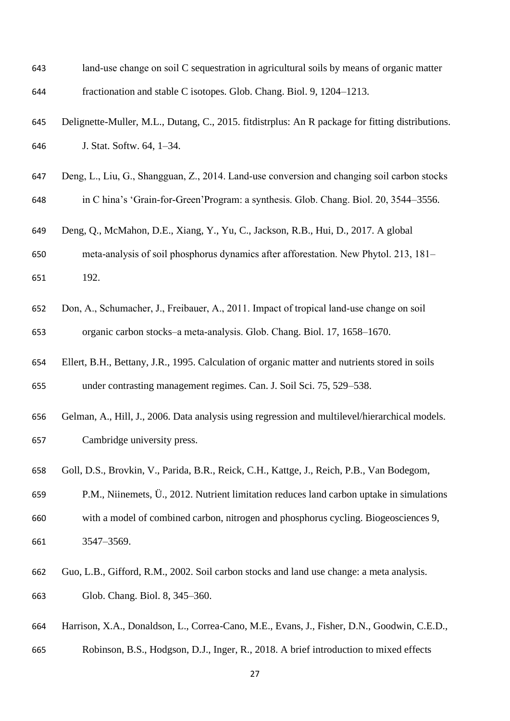| 643 | land-use change on soil C sequestration in agricultural soils by means of organic matter         |
|-----|--------------------------------------------------------------------------------------------------|
| 644 | fractionation and stable C isotopes. Glob. Chang. Biol. 9, 1204–1213.                            |
| 645 | Delignette-Muller, M.L., Dutang, C., 2015. fitdistrplus: An R package for fitting distributions. |
| 646 | J. Stat. Softw. 64, 1-34.                                                                        |
| 647 | Deng, L., Liu, G., Shangguan, Z., 2014. Land-use conversion and changing soil carbon stocks      |
| 648 | in C hina's 'Grain-for-Green'Program: a synthesis. Glob. Chang. Biol. 20, 3544–3556.             |
| 649 | Deng, Q., McMahon, D.E., Xiang, Y., Yu, C., Jackson, R.B., Hui, D., 2017. A global               |
| 650 | meta-analysis of soil phosphorus dynamics after afforestation. New Phytol. 213, 181–             |
| 651 | 192.                                                                                             |
| 652 | Don, A., Schumacher, J., Freibauer, A., 2011. Impact of tropical land-use change on soil         |
| 653 | organic carbon stocks–a meta-analysis. Glob. Chang. Biol. 17, 1658–1670.                         |
| 654 | Ellert, B.H., Bettany, J.R., 1995. Calculation of organic matter and nutrients stored in soils   |
| 655 | under contrasting management regimes. Can. J. Soil Sci. 75, 529–538.                             |
| 656 | Gelman, A., Hill, J., 2006. Data analysis using regression and multilevel/hierarchical models.   |
| 657 | Cambridge university press.                                                                      |
| 658 | Goll, D.S., Brovkin, V., Parida, B.R., Reick, C.H., Kattge, J., Reich, P.B., Van Bodegom,        |
| 659 | P.M., Niinemets, Ü., 2012. Nutrient limitation reduces land carbon uptake in simulations         |
| 660 | with a model of combined carbon, nitrogen and phosphorus cycling. Biogeosciences 9,              |
| 661 | 3547-3569.                                                                                       |
| 662 | Guo, L.B., Gifford, R.M., 2002. Soil carbon stocks and land use change: a meta analysis.         |
| 663 | Glob. Chang. Biol. 8, 345–360.                                                                   |
| 664 | Harrison, X.A., Donaldson, L., Correa-Cano, M.E., Evans, J., Fisher, D.N., Goodwin, C.E.D.,      |
| 665 | Robinson, B.S., Hodgson, D.J., Inger, R., 2018. A brief introduction to mixed effects            |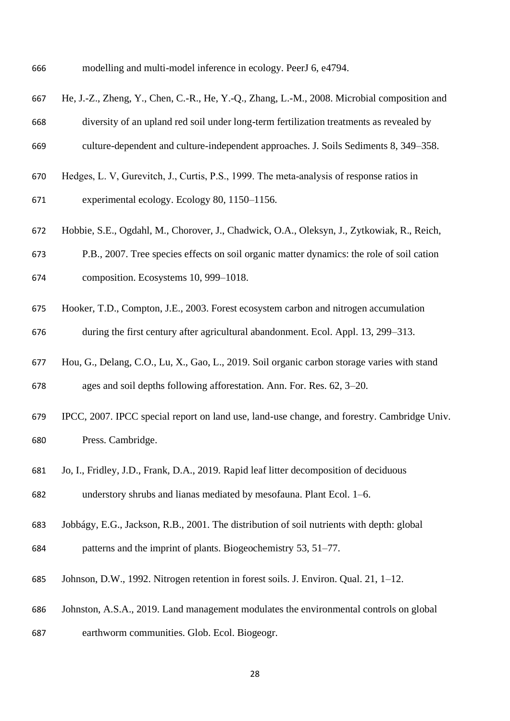modelling and multi-model inference in ecology. PeerJ 6, e4794.

| 667 | He, J.-Z., Zheng, Y., Chen, C.-R., He, Y.-Q., Zhang, L.-M., 2008. Microbial composition and |
|-----|---------------------------------------------------------------------------------------------|
| 668 | diversity of an upland red soil under long-term fertilization treatments as revealed by     |

- culture-dependent and culture-independent approaches. J. Soils Sediments 8, 349–358.
- Hedges, L. V, Gurevitch, J., Curtis, P.S., 1999. The meta‐analysis of response ratios in experimental ecology. Ecology 80, 1150–1156.
- Hobbie, S.E., Ogdahl, M., Chorover, J., Chadwick, O.A., Oleksyn, J., Zytkowiak, R., Reich,

 P.B., 2007. Tree species effects on soil organic matter dynamics: the role of soil cation composition. Ecosystems 10, 999–1018.

Hooker, T.D., Compton, J.E., 2003. Forest ecosystem carbon and nitrogen accumulation

during the first century after agricultural abandonment. Ecol. Appl. 13, 299–313.

- Hou, G., Delang, C.O., Lu, X., Gao, L., 2019. Soil organic carbon storage varies with stand ages and soil depths following afforestation. Ann. For. Res. 62, 3–20.
- IPCC, 2007. IPCC special report on land use, land-use change, and forestry. Cambridge Univ. Press. Cambridge.
- Jo, I., Fridley, J.D., Frank, D.A., 2019. Rapid leaf litter decomposition of deciduous

understory shrubs and lianas mediated by mesofauna. Plant Ecol. 1–6.

- Jobbágy, E.G., Jackson, R.B., 2001. The distribution of soil nutrients with depth: global patterns and the imprint of plants. Biogeochemistry 53, 51–77.
- Johnson, D.W., 1992. Nitrogen retention in forest soils. J. Environ. Qual. 21, 1–12.
- Johnston, A.S.A., 2019. Land management modulates the environmental controls on global
- earthworm communities. Glob. Ecol. Biogeogr.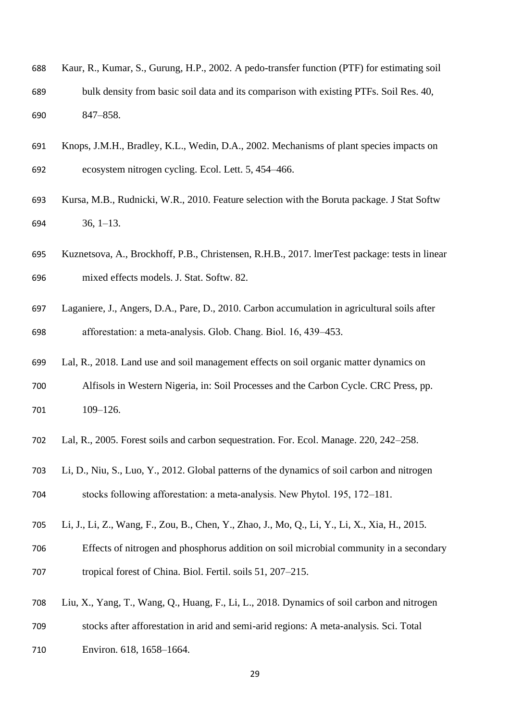- Kaur, R., Kumar, S., Gurung, H.P., 2002. A pedo-transfer function (PTF) for estimating soil bulk density from basic soil data and its comparison with existing PTFs. Soil Res. 40, 847–858.
- Knops, J.M.H., Bradley, K.L., Wedin, D.A., 2002. Mechanisms of plant species impacts on ecosystem nitrogen cycling. Ecol. Lett. 5, 454–466.
- Kursa, M.B., Rudnicki, W.R., 2010. Feature selection with the Boruta package. J Stat Softw 36, 1–13.
- Kuznetsova, A., Brockhoff, P.B., Christensen, R.H.B., 2017. lmerTest package: tests in linear mixed effects models. J. Stat. Softw. 82.
- Laganiere, J., Angers, D.A., Pare, D., 2010. Carbon accumulation in agricultural soils after afforestation: a meta‐analysis. Glob. Chang. Biol. 16, 439–453.
- Lal, R., 2018. Land use and soil management effects on soil organic matter dynamics on
- Alfisols in Western Nigeria, in: Soil Processes and the Carbon Cycle. CRC Press, pp. 109–126.
- Lal, R., 2005. Forest soils and carbon sequestration. For. Ecol. Manage. 220, 242–258.
- Li, D., Niu, S., Luo, Y., 2012. Global patterns of the dynamics of soil carbon and nitrogen stocks following afforestation: a meta‐analysis. New Phytol. 195, 172–181.
- Li, J., Li, Z., Wang, F., Zou, B., Chen, Y., Zhao, J., Mo, Q., Li, Y., Li, X., Xia, H., 2015.
- Effects of nitrogen and phosphorus addition on soil microbial community in a secondary tropical forest of China. Biol. Fertil. soils 51, 207–215.
- Liu, X., Yang, T., Wang, Q., Huang, F., Li, L., 2018. Dynamics of soil carbon and nitrogen
- stocks after afforestation in arid and semi-arid regions: A meta-analysis. Sci. Total
- Environ. 618, 1658–1664.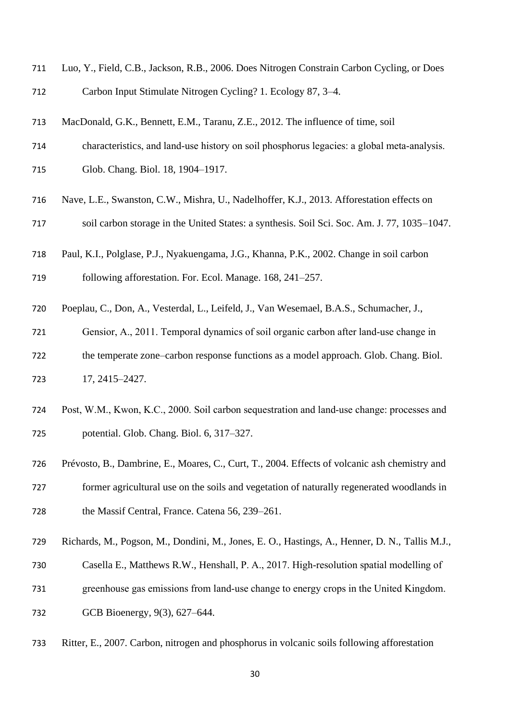| 711 | Luo, Y., Field, C.B., Jackson, R.B., 2006. Does Nitrogen Constrain Carbon Cycling, or Does     |
|-----|------------------------------------------------------------------------------------------------|
| 712 | Carbon Input Stimulate Nitrogen Cycling? 1. Ecology 87, 3-4.                                   |
| 713 | MacDonald, G.K., Bennett, E.M., Taranu, Z.E., 2012. The influence of time, soil                |
| 714 | characteristics, and land-use history on soil phosphorus legacies: a global meta-analysis.     |
| 715 | Glob. Chang. Biol. 18, 1904-1917.                                                              |
| 716 | Nave, L.E., Swanston, C.W., Mishra, U., Nadelhoffer, K.J., 2013. Afforestation effects on      |
| 717 | soil carbon storage in the United States: a synthesis. Soil Sci. Soc. Am. J. 77, 1035–1047.    |
| 718 | Paul, K.I., Polglase, P.J., Nyakuengama, J.G., Khanna, P.K., 2002. Change in soil carbon       |
| 719 | following afforestation. For. Ecol. Manage. 168, 241-257.                                      |
| 720 | Poeplau, C., Don, A., Vesterdal, L., Leifeld, J., Van Wesemael, B.A.S., Schumacher, J.,        |
| 721 | Gensior, A., 2011. Temporal dynamics of soil organic carbon after land-use change in           |
| 722 | the temperate zone-carbon response functions as a model approach. Glob. Chang. Biol.           |
| 723 | 17, 2415-2427.                                                                                 |
| 724 | Post, W.M., Kwon, K.C., 2000. Soil carbon sequestration and land-use change: processes and     |
| 725 | potential. Glob. Chang. Biol. 6, 317-327.                                                      |
| 726 | Prévosto, B., Dambrine, E., Moares, C., Curt, T., 2004. Effects of volcanic ash chemistry and  |
| 727 | former agricultural use on the soils and vegetation of naturally regenerated woodlands in      |
| 728 | the Massif Central, France. Catena 56, 239–261.                                                |
| 729 | Richards, M., Pogson, M., Dondini, M., Jones, E. O., Hastings, A., Henner, D. N., Tallis M.J., |
| 730 | Casella E., Matthews R.W., Henshall, P. A., 2017. High-resolution spatial modelling of         |
| 731 | greenhouse gas emissions from land-use change to energy crops in the United Kingdom.           |
| 732 | GCB Bioenergy, 9(3), 627–644.                                                                  |

Ritter, E., 2007. Carbon, nitrogen and phosphorus in volcanic soils following afforestation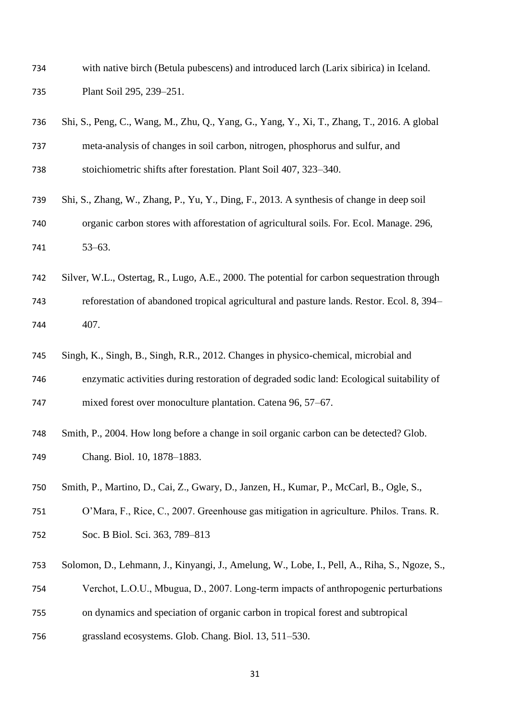- with native birch (Betula pubescens) and introduced larch (Larix sibirica) in Iceland. Plant Soil 295, 239–251.
- Shi, S., Peng, C., Wang, M., Zhu, Q., Yang, G., Yang, Y., Xi, T., Zhang, T., 2016. A global meta-analysis of changes in soil carbon, nitrogen, phosphorus and sulfur, and stoichiometric shifts after forestation. Plant Soil 407, 323–340. Shi, S., Zhang, W., Zhang, P., Yu, Y., Ding, F., 2013. A synthesis of change in deep soil organic carbon stores with afforestation of agricultural soils. For. Ecol. Manage. 296, 53–63. Silver, W.L., Ostertag, R., Lugo, A.E., 2000. The potential for carbon sequestration through
- reforestation of abandoned tropical agricultural and pasture lands. Restor. Ecol. 8, 394– 407.
- Singh, K., Singh, B., Singh, R.R., 2012. Changes in physico-chemical, microbial and
- enzymatic activities during restoration of degraded sodic land: Ecological suitability of mixed forest over monoculture plantation. Catena 96, 57–67.
- Smith, P., 2004. How long before a change in soil organic carbon can be detected? Glob. Chang. Biol. 10, 1878–1883.
- Smith, P., Martino, D., Cai, Z., Gwary, D., Janzen, H., Kumar, P., McCarl, B., Ogle, S.,
- O'Mara, F., Rice, C., 2007. Greenhouse gas mitigation in agriculture. Philos. Trans. R.
- Soc. B Biol. Sci. 363, 789–813
- Solomon, D., Lehmann, J., Kinyangi, J., Amelung, W., Lobe, I., Pell, A., Riha, S., Ngoze, S.,
- Verchot, L.O.U., Mbugua, D., 2007. Long‐term impacts of anthropogenic perturbations
- on dynamics and speciation of organic carbon in tropical forest and subtropical
- grassland ecosystems. Glob. Chang. Biol. 13, 511–530.